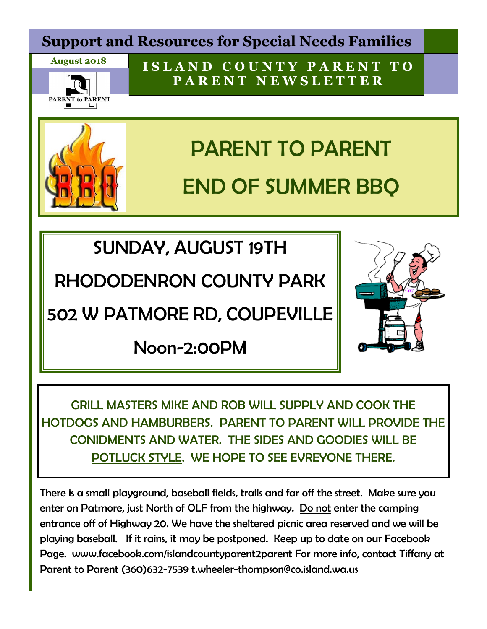## **Support and Resources for Special Needs Families**





**I S L A N D C O U N T Y P A R E N T T O P A R E N T N E W S L E T T E R**



# PARENT TO PARENT END OF SUMMER BBQ

SUNDAY, AUGUST 19TH

RHODODENRON COUNTY PARK

502 W PATMORE RD, COUPEVILLE

Noon-2:00PM



GRILL MASTERS MIKE AND ROB WILL SUPPLY AND COOK THE HOTDOGS AND HAMBURBERS. PARENT TO PARENT WILL PROVIDE THE CONIDMENTS AND WATER. THE SIDES AND GOODIES WILL BE POTLUCK STYLE. WE HOPE TO SEE EVREYONE THERE.

There is a small playground, baseball fields, trails and far off the street. Make sure you enter on Patmore, just North of OLF from the highway. Do not enter the camping entrance off of Highway 20. We have the sheltered picnic area reserved and we will be playing baseball. If it rains, it may be postponed. Keep up to date on our Facebook Page. www.facebook.com/islandcountyparent2parent For more info, contact Tiffany at Parent to Parent (360)632-7539 t.wheeler-thompson@co.island.wa.us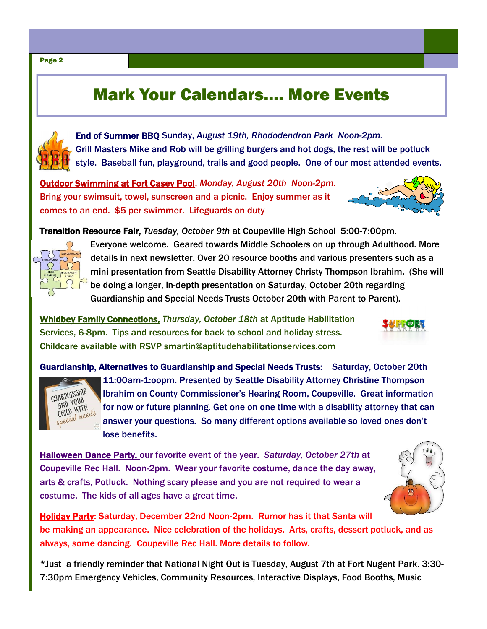# Mark Your Calendars…. More Events



End of Summer BBQ Sunday, *August 19th, Rhododendron Park Noon-2pm.* Grill Masters Mike and Rob will be grilling burgers and hot dogs, the rest will be potluck style. Baseball fun, playground, trails and good people. One of our most attended events.

Outdoor Swimming at Fort Casey Pool, *Monday, August 20th Noon-2pm.* Bring your swimsuit, towel, sunscreen and a picnic. Enjoy summer as it comes to an end. \$5 per swimmer. Lifeguards on duty



Transition Resource Fair, *Tuesday, October 9th* at Coupeville High School 5:00-7:00pm.



Everyone welcome. Geared towards Middle Schoolers on up through Adulthood. More details in next newsletter. Over 20 resource booths and various presenters such as a mini presentation from Seattle Disability Attorney Christy Thompson Ibrahim. (She will be doing a longer, in-depth presentation on Saturday, October 20th regarding Guardianship and Special Needs Trusts October 20th with Parent to Parent).

Whidbey Family Connections, *Thursday, October 18th* at Aptitude Habilitation Services, 6-8pm. Tips and resources for back to school and holiday stress. Childcare available with RSVP smartin@aptitudehabilitationservices.com

Guardianship, Alternatives to Guardianship and Special Needs Trusts: Saturday, October 20th 11:00am-1:oopm. Presented by Seattle Disability Attorney Christine Thompson GUARDIANSHIP Ibrahim on County Commissioner's Hearing Room, Coupeville. Great information ARDIANOMA AND YOUR<br>CHILD WITH<br>special needs for now or future planning. Get one on one time with a disability attorney that can answer your questions. So many different options available so loved ones don't lose benefits.

Halloween Dance Party, our favorite event of the year. *Saturday, October 27th* at Coupeville Rec Hall. Noon-2pm. Wear your favorite costume, dance the day away, arts & crafts, Potluck. Nothing scary please and you are not required to wear a costume. The kids of all ages have a great time.



Holiday Party: Saturday, December 22nd Noon-2pm. Rumor has it that Santa will be making an appearance. Nice celebration of the holidays. Arts, crafts, dessert potluck, and as always, some dancing. Coupeville Rec Hall. More details to follow.

\*Just a friendly reminder that National Night Out is Tuesday, August 7th at Fort Nugent Park. 3:30- 7:30pm Emergency Vehicles, Community Resources, Interactive Displays, Food Booths, Music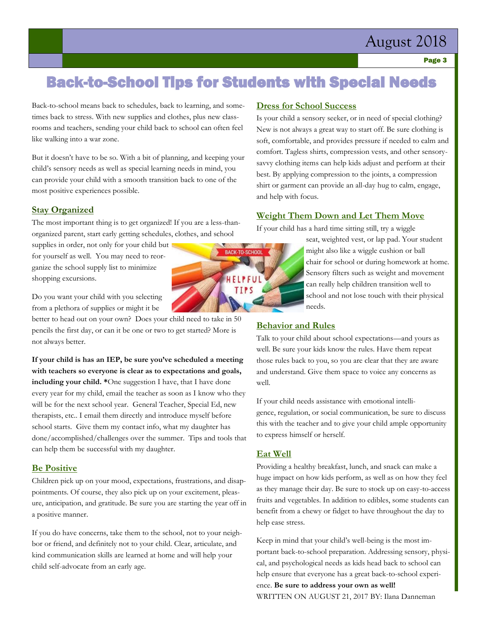# August 2018

### Back-to-School Tips for Students with Special Needs

Back-to-school means back to schedules, back to learning, and sometimes back to stress. With new supplies and clothes, plus new classrooms and teachers, sending your child back to school can often feel like walking into a war zone.

But it doesn't have to be so. With a bit of planning, and keeping your child's sensory needs as well as special learning needs in mind, you can provide your child with a smooth transition back to one of the most positive experiences possible.

#### **Stay Organized**

The most important thing is to get organized! If you are a less-thanorganized parent, start early getting schedules, clothes, and school

supplies in order, not only for your child but for yourself as well. You may need to reorganize the school supply list to minimize shopping excursions.

Do you want your child with you selecting from a plethora of supplies or might it be

better to head out on your own? Does your child need to take in 50 pencils the first day, or can it be one or two to get started? More is not always better.

**If your child is has an IEP, be sure you've scheduled a meeting with teachers so everyone is clear as to expectations and goals, including your child. \***One suggestion I have, that I have done every year for my child, email the teacher as soon as I know who they will be for the next school year. General Teacher, Special Ed, new therapists, etc.. I email them directly and introduce myself before school starts. Give them my contact info, what my daughter has done/accomplished/challenges over the summer. Tips and tools that can help them be successful with my daughter.

#### **Be Positive**

Children pick up on your mood, expectations, frustrations, and disappointments. Of course, they also pick up on your excitement, pleasure, anticipation, and gratitude. Be sure you are starting the year off in a positive manner.

If you do have concerns, take them to the school, not to your neighbor or friend, and definitely not to your child. Clear, articulate, and kind communication skills are learned at home and will help your child self-advocate from an early age.

#### **Dress for School Success**

Is your child a sensory seeker, or in need of special clothing? New is not always a great way to start off. Be sure clothing is soft, comfortable, and provides pressure if needed to calm and comfort. Tagless shirts, compression vests, and other sensorysavvy clothing items can help kids adjust and perform at their best. By applying compression to the joints, a compression shirt or garment can provide an all-day hug to calm, engage, and help with focus.

#### **Weight Them Down and Let Them Move**

If your child has a hard time sitting still, try a wiggle

seat, weighted vest, or lap pad. Your student might also like a wiggle cushion or ball chair for school or during homework at home. Sensory filters such as weight and movement can really help children transition well to school and not lose touch with their physical needs.

**Behavior and Rules** 

Talk to your child about school expectations—and yours as well. Be sure your kids know the rules. Have them repeat those rules back to you, so you are clear that they are aware and understand. Give them space to voice any concerns as well.

If your child needs assistance with emotional intelligence, regulation, or social communication, be sure to discuss this with the teacher and to give your child ample opportunity to express himself or herself.

#### **Eat Well**

Providing a healthy breakfast, lunch, and snack can make a huge impact on how kids perform, as well as on how they feel as they manage their day. Be sure to stock up on easy-to-access fruits and vegetables. In addition to edibles, some students can benefit from a chewy or fidget to have throughout the day to help ease stress.

Keep in mind that your child's well-being is the most important back-to-school preparation. Addressing sensory, physical, and psychological needs as kids head back to school can help ensure that everyone has a great back-to-school experience. **Be sure to address your own as well!**  WRITTEN ON AUGUST 21, 2017 BY: Ilana Danneman